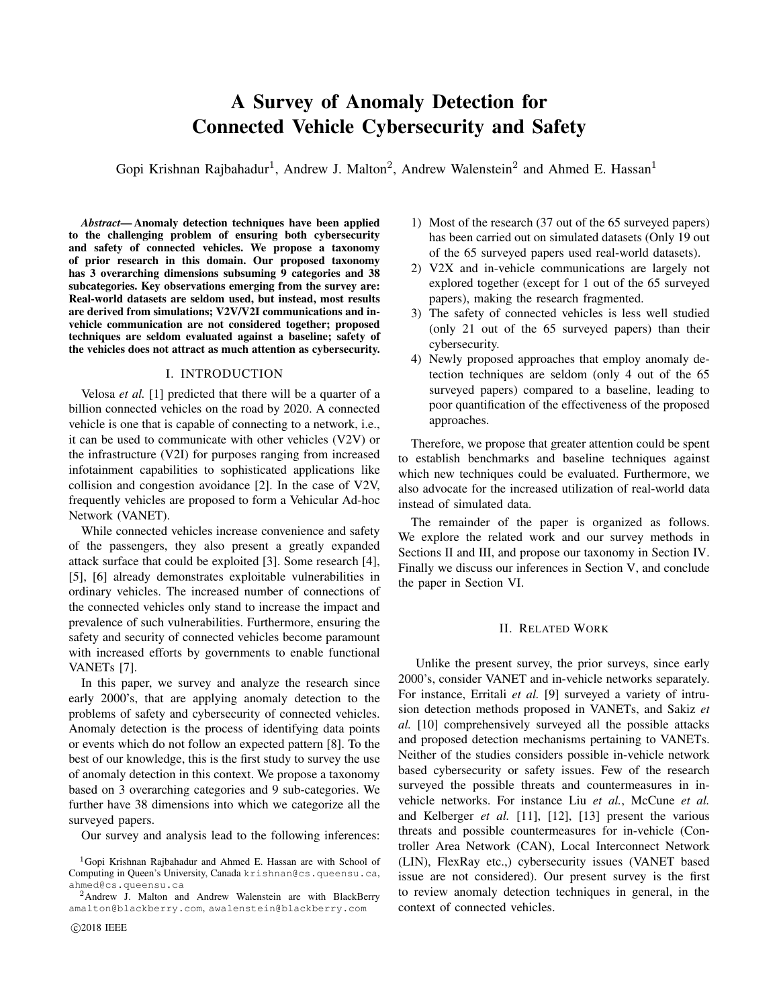# A Survey of Anomaly Detection for Connected Vehicle Cybersecurity and Safety

Gopi Krishnan Rajbahadur<sup>1</sup>, Andrew J. Malton<sup>2</sup>, Andrew Walenstein<sup>2</sup> and Ahmed E. Hassan<sup>1</sup>

*Abstract*— Anomaly detection techniques have been applied to the challenging problem of ensuring both cybersecurity and safety of connected vehicles. We propose a taxonomy of prior research in this domain. Our proposed taxonomy has 3 overarching dimensions subsuming 9 categories and 38 subcategories. Key observations emerging from the survey are: Real-world datasets are seldom used, but instead, most results are derived from simulations; V2V/V2I communications and invehicle communication are not considered together; proposed techniques are seldom evaluated against a baseline; safety of the vehicles does not attract as much attention as cybersecurity.

## I. INTRODUCTION

Velosa *et al.* [1] predicted that there will be a quarter of a billion connected vehicles on the road by 2020. A connected vehicle is one that is capable of connecting to a network, i.e., it can be used to communicate with other vehicles (V2V) or the infrastructure (V2I) for purposes ranging from increased infotainment capabilities to sophisticated applications like collision and congestion avoidance [2]. In the case of V2V, frequently vehicles are proposed to form a Vehicular Ad-hoc Network (VANET).

While connected vehicles increase convenience and safety of the passengers, they also present a greatly expanded attack surface that could be exploited [3]. Some research [4], [5], [6] already demonstrates exploitable vulnerabilities in ordinary vehicles. The increased number of connections of the connected vehicles only stand to increase the impact and prevalence of such vulnerabilities. Furthermore, ensuring the safety and security of connected vehicles become paramount with increased efforts by governments to enable functional VANETs [7].

In this paper, we survey and analyze the research since early 2000's, that are applying anomaly detection to the problems of safety and cybersecurity of connected vehicles. Anomaly detection is the process of identifying data points or events which do not follow an expected pattern [8]. To the best of our knowledge, this is the first study to survey the use of anomaly detection in this context. We propose a taxonomy based on 3 overarching categories and 9 sub-categories. We further have 38 dimensions into which we categorize all the surveyed papers.

Our survey and analysis lead to the following inferences:

- 1) Most of the research (37 out of the 65 surveyed papers) has been carried out on simulated datasets (Only 19 out of the 65 surveyed papers used real-world datasets).
- 2) V2X and in-vehicle communications are largely not explored together (except for 1 out of the 65 surveyed papers), making the research fragmented.
- 3) The safety of connected vehicles is less well studied (only 21 out of the 65 surveyed papers) than their cybersecurity.
- 4) Newly proposed approaches that employ anomaly detection techniques are seldom (only 4 out of the 65 surveyed papers) compared to a baseline, leading to poor quantification of the effectiveness of the proposed approaches.

Therefore, we propose that greater attention could be spent to establish benchmarks and baseline techniques against which new techniques could be evaluated. Furthermore, we also advocate for the increased utilization of real-world data instead of simulated data.

The remainder of the paper is organized as follows. We explore the related work and our survey methods in Sections II and III, and propose our taxonomy in Section IV. Finally we discuss our inferences in Section V, and conclude the paper in Section VI.

# II. RELATED WORK

Unlike the present survey, the prior surveys, since early 2000's, consider VANET and in-vehicle networks separately. For instance, Erritali *et al.* [9] surveyed a variety of intrusion detection methods proposed in VANETs, and Sakiz *et al.* [10] comprehensively surveyed all the possible attacks and proposed detection mechanisms pertaining to VANETs. Neither of the studies considers possible in-vehicle network based cybersecurity or safety issues. Few of the research surveyed the possible threats and countermeasures in invehicle networks. For instance Liu et al., McCune et al. and Kelberger *et al.* [11], [12], [13] present the various threats and possible countermeasures for in-vehicle (Controller Area Network (CAN), Local Interconnect Network (LIN), FlexRay etc.,) cybersecurity issues (VANET based issue are not considered). Our present survey is the first to review anomaly detection techniques in general, in the context of connected vehicles.

<sup>&</sup>lt;sup>1</sup>Gopi Krishnan Rajbahadur and Ahmed E. Hassan are with School of Computing in Queen's University, Canada krishnan@cs.queensu.ca, ahmed@cs.queensu.ca

<sup>&</sup>lt;sup>2</sup>Andrew J. Malton and Andrew Walenstein are with BlackBerry amalton@blackberry.com, awalenstein@blackberry.com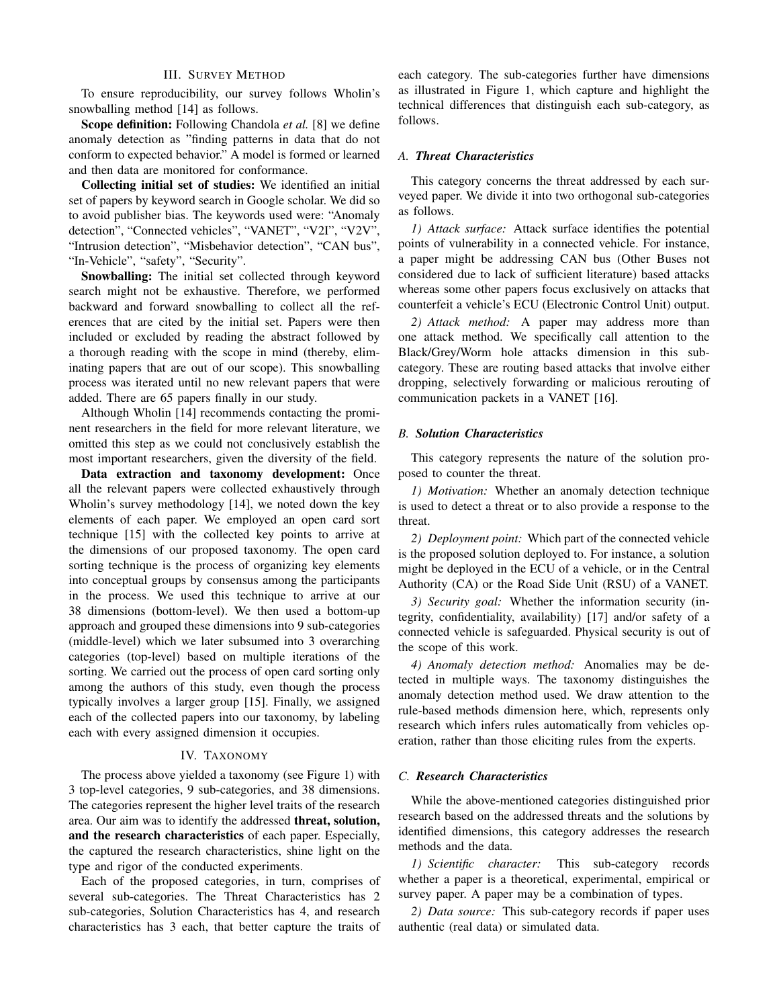# III. SURVEY METHOD

To ensure reproducibility, our survey follows Wholin's snowballing method [14] as follows.

Scope definition: Following Chandola *et al.* [8] we define anomaly detection as "finding patterns in data that do not conform to expected behavior." A model is formed or learned and then data are monitored for conformance.

Collecting initial set of studies: We identified an initial set of papers by keyword search in Google scholar. We did so to avoid publisher bias. The keywords used were: "Anomaly detection", "Connected vehicles", "VANET", "V2I", "V2V", "Intrusion detection", "Misbehavior detection", "CAN bus", "In-Vehicle", "safety", "Security".

Snowballing: The initial set collected through keyword search might not be exhaustive. Therefore, we performed backward and forward snowballing to collect all the references that are cited by the initial set. Papers were then included or excluded by reading the abstract followed by a thorough reading with the scope in mind (thereby, eliminating papers that are out of our scope). This snowballing process was iterated until no new relevant papers that were added. There are 65 papers finally in our study.

Although Wholin [14] recommends contacting the prominent researchers in the field for more relevant literature, we omitted this step as we could not conclusively establish the most important researchers, given the diversity of the field.

Data extraction and taxonomy development: Once all the relevant papers were collected exhaustively through Wholin's survey methodology [14], we noted down the key elements of each paper. We employed an open card sort technique [15] with the collected key points to arrive at the dimensions of our proposed taxonomy. The open card sorting technique is the process of organizing key elements into conceptual groups by consensus among the participants in the process. We used this technique to arrive at our 38 dimensions (bottom-level). We then used a bottom-up approach and grouped these dimensions into 9 sub-categories (middle-level) which we later subsumed into 3 overarching categories (top-level) based on multiple iterations of the sorting. We carried out the process of open card sorting only among the authors of this study, even though the process typically involves a larger group [15]. Finally, we assigned each of the collected papers into our taxonomy, by labeling each with every assigned dimension it occupies.

# IV. TAXONOMY

The process above yielded a taxonomy (see Figure 1) with 3 top-level categories, 9 sub-categories, and 38 dimensions. The categories represent the higher level traits of the research area. Our aim was to identify the addressed threat, solution, and the research characteristics of each paper. Especially, the captured the research characteristics, shine light on the type and rigor of the conducted experiments.

Each of the proposed categories, in turn, comprises of several sub-categories. The Threat Characteristics has 2 sub-categories, Solution Characteristics has 4, and research characteristics has 3 each, that better capture the traits of each category. The sub-categories further have dimensions as illustrated in Figure 1, which capture and highlight the technical differences that distinguish each sub-category, as follows.

## *A. Threat Characteristics*

This category concerns the threat addressed by each surveyed paper. We divide it into two orthogonal sub-categories as follows.

*1) Attack surface:* Attack surface identifies the potential points of vulnerability in a connected vehicle. For instance, a paper might be addressing CAN bus (Other Buses not considered due to lack of sufficient literature) based attacks whereas some other papers focus exclusively on attacks that counterfeit a vehicle's ECU (Electronic Control Unit) output.

*2) Attack method:* A paper may address more than one attack method. We specifically call attention to the Black/Grey/Worm hole attacks dimension in this subcategory. These are routing based attacks that involve either dropping, selectively forwarding or malicious rerouting of communication packets in a VANET [16].

# *B. Solution Characteristics*

This category represents the nature of the solution proposed to counter the threat.

*1) Motivation:* Whether an anomaly detection technique is used to detect a threat or to also provide a response to the threat.

*2) Deployment point:* Which part of the connected vehicle is the proposed solution deployed to. For instance, a solution might be deployed in the ECU of a vehicle, or in the Central Authority (CA) or the Road Side Unit (RSU) of a VANET.

*3) Security goal:* Whether the information security (integrity, confidentiality, availability) [17] and/or safety of a connected vehicle is safeguarded. Physical security is out of the scope of this work.

*4) Anomaly detection method:* Anomalies may be detected in multiple ways. The taxonomy distinguishes the anomaly detection method used. We draw attention to the rule-based methods dimension here, which, represents only research which infers rules automatically from vehicles operation, rather than those eliciting rules from the experts.

# *C. Research Characteristics*

While the above-mentioned categories distinguished prior research based on the addressed threats and the solutions by identified dimensions, this category addresses the research methods and the data.

*1) Scientific character:* This sub-category records whether a paper is a theoretical, experimental, empirical or survey paper. A paper may be a combination of types.

*2) Data source:* This sub-category records if paper uses authentic (real data) or simulated data.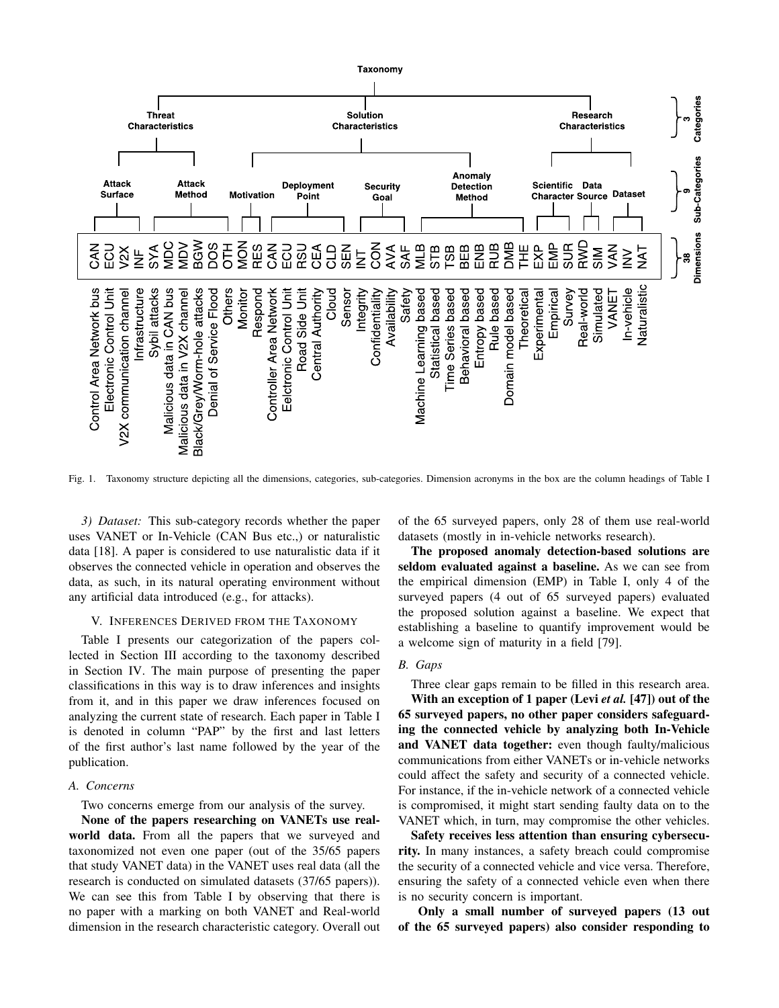

Fig. 1. Taxonomy structure depicting all the dimensions, categories, sub-categories. Dimension acronyms in the box are the column headings of Table I

*3) Dataset:* This sub-category records whether the paper uses VANET or In-Vehicle (CAN Bus etc.,) or naturalistic data [18]. A paper is considered to use naturalistic data if it observes the connected vehicle in operation and observes the data, as such, in its natural operating environment without any artificial data introduced (e.g., for attacks).

## V. INFERENCES DERIVED FROM THE TAXONOMY

Table I presents our categorization of the papers collected in Section III according to the taxonomy described in Section IV. The main purpose of presenting the paper classifications in this way is to draw inferences and insights from it, and in this paper we draw inferences focused on analyzing the current state of research. Each paper in Table I is denoted in column "PAP" by the first and last letters of the first author's last name followed by the year of the publication.

### *A. Concerns*

Two concerns emerge from our analysis of the survey.

None of the papers researching on VANETs use realworld data. From all the papers that we surveyed and taxonomized not even one paper (out of the 35/65 papers that study VANET data) in the VANET uses real data (all the research is conducted on simulated datasets (37/65 papers)). We can see this from Table I by observing that there is no paper with a marking on both VANET and Real-world dimension in the research characteristic category. Overall out of the 65 surveyed papers, only 28 of them use real-world datasets (mostly in in-vehicle networks research).

The proposed anomaly detection-based solutions are seldom evaluated against a baseline. As we can see from the empirical dimension (EMP) in Table I, only 4 of the surveyed papers (4 out of 65 surveyed papers) evaluated the proposed solution against a baseline. We expect that establishing a baseline to quantify improvement would be a welcome sign of maturity in a field [79].

# *B. Gaps*

Three clear gaps remain to be filled in this research area. With an exception of 1 paper (Levi *et al.* [47]) out of the 65 surveyed papers, no other paper considers safeguarding the connected vehicle by analyzing both In-Vehicle and VANET data together: even though faulty/malicious

communications from either VANETs or in-vehicle networks could affect the safety and security of a connected vehicle. For instance, if the in-vehicle network of a connected vehicle is compromised, it might start sending faulty data on to the VANET which, in turn, may compromise the other vehicles.

Safety receives less attention than ensuring cybersecurity. In many instances, a safety breach could compromise the security of a connected vehicle and vice versa. Therefore, ensuring the safety of a connected vehicle even when there is no security concern is important.

Only a small number of surveyed papers (13 out of the 65 surveyed papers) also consider responding to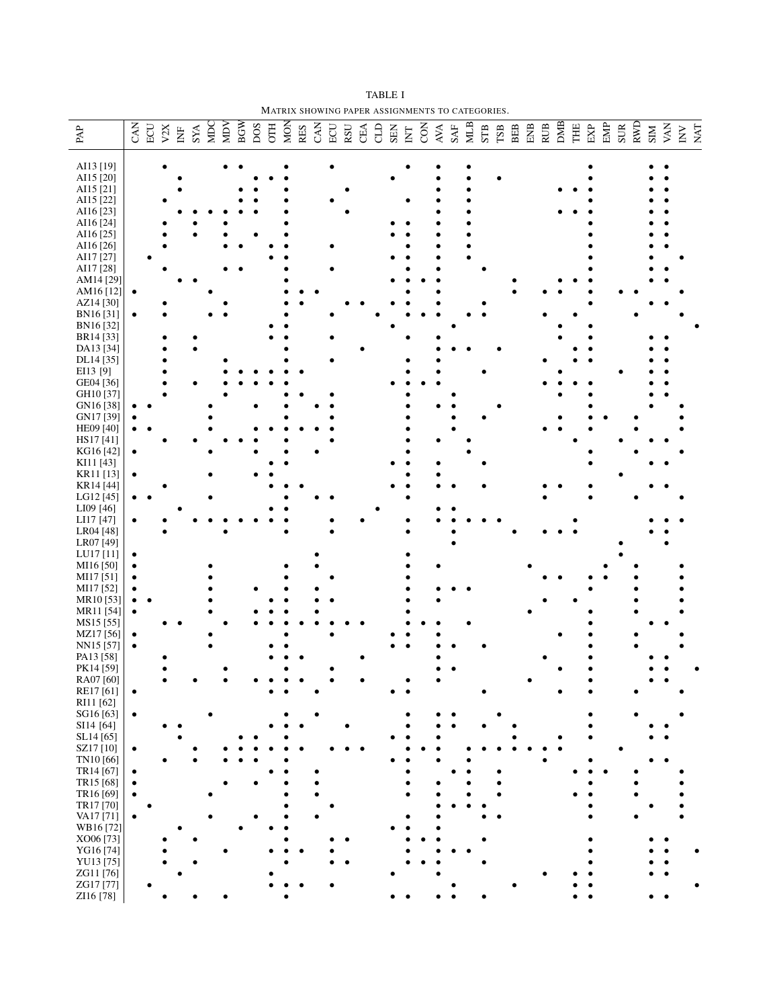TABLE I MATRIX SHOWING PAPER ASSIGNMENTS TO CATEGORIES.

| AI13 [19]<br>AI15 [20]<br>AI15 [21]<br>AI15 [22]<br>AI16 [23]<br>AI16 [24]<br>AI16 [25]<br>AI16 [26]<br>AI17 [27]<br>AI17 [28]<br>AM14 [29]<br>AM16[12]<br>$\bullet$<br>AZ14 [30]<br>BN16[31]<br>BN16[32]<br>BR14 [33]<br>DA13 [34]<br>DL14 [35]<br>EI13 [9]<br>GE04 [36]<br>GH10 [37]<br>GN16 [38]<br>GN17 [39]<br>HE09 [40]<br>HS17[41]<br>KG16 [42]<br>$\bullet$<br>KI11 [43]<br>KR11 [13]<br>KR14 [44]<br>LG12 [45]<br>LI09 [46]<br>LI17 [47]<br>$\bullet$<br>LR04 [48]<br>LR07 [49]<br>LU17 [11]<br>$\bullet$<br>MI16 [50]<br>$\bullet$<br>MI17 [51]<br>$\bullet$<br>MI17 [52]<br>MR <sub>10</sub> [53]<br>MR11 [54]<br>MS15 [55]<br>MZ17[56]<br>NN15 [57]<br>PA13 [58]<br>PK14 [59]<br>RA07 [60]<br>RE17[61]<br>$\bullet$<br>RI11 [62]<br>SG16 [63]<br>$\bullet$<br>SI14 [64]<br>SL14 [65]<br>SZ17 <sup>[10]</sup><br>$\bullet$<br>TN10 [66]<br>TR14 [67]<br>$\bullet$<br>TR15 [68]<br>$\bullet$<br>TR16 [69]<br>$\bullet$<br>TR17 [70]<br>VA17[71]<br>$\bullet$<br>WB16[72]<br>XO06 [73]<br>YG16 [74]<br>YU13 [75]<br>ZG11[76]<br>ZG17 [77] | $\ensuremath{\mathsf{PAP}}$ | $\frac{\text{CAN}}{\text{BCU}}$ | $\ensuremath{\text{v2X}}$ | $\begin{tabular}{l} \hline \text{N} \text{F} \\ \text{S} \text{YA} \\ \text{MDC} \\ \text{MDC} \\ \end{tabular}$ |  | <b>BGW</b> |  |  |  |  |  |  |  |  |  | ENB<br>RUB |  | $$\tt DMB$$ THE | ${\rm EXP}$ | EMP | $\frac{\text{SUR}}{\text{RWD}}$ | $\frac{\text{N}}{\text{NN}}$ |  | $\frac{\text{V}}{\text{N}}$ |
|----------------------------------------------------------------------------------------------------------------------------------------------------------------------------------------------------------------------------------------------------------------------------------------------------------------------------------------------------------------------------------------------------------------------------------------------------------------------------------------------------------------------------------------------------------------------------------------------------------------------------------------------------------------------------------------------------------------------------------------------------------------------------------------------------------------------------------------------------------------------------------------------------------------------------------------------------------------------------------------------------------------------------------------------------|-----------------------------|---------------------------------|---------------------------|------------------------------------------------------------------------------------------------------------------|--|------------|--|--|--|--|--|--|--|--|--|------------|--|-----------------|-------------|-----|---------------------------------|------------------------------|--|-----------------------------|
|                                                                                                                                                                                                                                                                                                                                                                                                                                                                                                                                                                                                                                                                                                                                                                                                                                                                                                                                                                                                                                                    |                             |                                 |                           |                                                                                                                  |  |            |  |  |  |  |  |  |  |  |  |            |  |                 |             |     |                                 |                              |  |                             |
|                                                                                                                                                                                                                                                                                                                                                                                                                                                                                                                                                                                                                                                                                                                                                                                                                                                                                                                                                                                                                                                    |                             |                                 |                           |                                                                                                                  |  |            |  |  |  |  |  |  |  |  |  |            |  |                 |             |     |                                 |                              |  |                             |
|                                                                                                                                                                                                                                                                                                                                                                                                                                                                                                                                                                                                                                                                                                                                                                                                                                                                                                                                                                                                                                                    |                             |                                 |                           |                                                                                                                  |  |            |  |  |  |  |  |  |  |  |  |            |  |                 |             |     |                                 |                              |  |                             |
|                                                                                                                                                                                                                                                                                                                                                                                                                                                                                                                                                                                                                                                                                                                                                                                                                                                                                                                                                                                                                                                    |                             |                                 |                           |                                                                                                                  |  |            |  |  |  |  |  |  |  |  |  |            |  |                 |             |     |                                 |                              |  |                             |
|                                                                                                                                                                                                                                                                                                                                                                                                                                                                                                                                                                                                                                                                                                                                                                                                                                                                                                                                                                                                                                                    |                             |                                 |                           |                                                                                                                  |  |            |  |  |  |  |  |  |  |  |  |            |  |                 |             |     |                                 |                              |  |                             |
|                                                                                                                                                                                                                                                                                                                                                                                                                                                                                                                                                                                                                                                                                                                                                                                                                                                                                                                                                                                                                                                    |                             |                                 |                           |                                                                                                                  |  |            |  |  |  |  |  |  |  |  |  |            |  |                 |             |     |                                 |                              |  |                             |
|                                                                                                                                                                                                                                                                                                                                                                                                                                                                                                                                                                                                                                                                                                                                                                                                                                                                                                                                                                                                                                                    |                             |                                 |                           |                                                                                                                  |  |            |  |  |  |  |  |  |  |  |  |            |  |                 |             |     |                                 |                              |  |                             |
|                                                                                                                                                                                                                                                                                                                                                                                                                                                                                                                                                                                                                                                                                                                                                                                                                                                                                                                                                                                                                                                    |                             |                                 |                           |                                                                                                                  |  |            |  |  |  |  |  |  |  |  |  |            |  |                 |             |     |                                 |                              |  |                             |
|                                                                                                                                                                                                                                                                                                                                                                                                                                                                                                                                                                                                                                                                                                                                                                                                                                                                                                                                                                                                                                                    |                             |                                 |                           |                                                                                                                  |  |            |  |  |  |  |  |  |  |  |  |            |  |                 |             |     |                                 |                              |  |                             |
|                                                                                                                                                                                                                                                                                                                                                                                                                                                                                                                                                                                                                                                                                                                                                                                                                                                                                                                                                                                                                                                    |                             |                                 |                           |                                                                                                                  |  |            |  |  |  |  |  |  |  |  |  |            |  |                 |             |     |                                 |                              |  |                             |
|                                                                                                                                                                                                                                                                                                                                                                                                                                                                                                                                                                                                                                                                                                                                                                                                                                                                                                                                                                                                                                                    |                             |                                 |                           |                                                                                                                  |  |            |  |  |  |  |  |  |  |  |  |            |  |                 |             |     |                                 |                              |  |                             |
|                                                                                                                                                                                                                                                                                                                                                                                                                                                                                                                                                                                                                                                                                                                                                                                                                                                                                                                                                                                                                                                    |                             |                                 |                           |                                                                                                                  |  |            |  |  |  |  |  |  |  |  |  |            |  |                 |             |     |                                 |                              |  |                             |
|                                                                                                                                                                                                                                                                                                                                                                                                                                                                                                                                                                                                                                                                                                                                                                                                                                                                                                                                                                                                                                                    |                             |                                 |                           |                                                                                                                  |  |            |  |  |  |  |  |  |  |  |  |            |  |                 |             |     |                                 |                              |  |                             |
|                                                                                                                                                                                                                                                                                                                                                                                                                                                                                                                                                                                                                                                                                                                                                                                                                                                                                                                                                                                                                                                    |                             |                                 |                           |                                                                                                                  |  |            |  |  |  |  |  |  |  |  |  |            |  |                 |             |     |                                 |                              |  |                             |
|                                                                                                                                                                                                                                                                                                                                                                                                                                                                                                                                                                                                                                                                                                                                                                                                                                                                                                                                                                                                                                                    |                             |                                 |                           |                                                                                                                  |  |            |  |  |  |  |  |  |  |  |  |            |  |                 |             |     |                                 |                              |  |                             |
|                                                                                                                                                                                                                                                                                                                                                                                                                                                                                                                                                                                                                                                                                                                                                                                                                                                                                                                                                                                                                                                    |                             |                                 |                           |                                                                                                                  |  |            |  |  |  |  |  |  |  |  |  |            |  |                 |             |     |                                 |                              |  |                             |
|                                                                                                                                                                                                                                                                                                                                                                                                                                                                                                                                                                                                                                                                                                                                                                                                                                                                                                                                                                                                                                                    |                             |                                 |                           |                                                                                                                  |  |            |  |  |  |  |  |  |  |  |  |            |  |                 |             |     |                                 |                              |  |                             |
|                                                                                                                                                                                                                                                                                                                                                                                                                                                                                                                                                                                                                                                                                                                                                                                                                                                                                                                                                                                                                                                    |                             |                                 |                           |                                                                                                                  |  |            |  |  |  |  |  |  |  |  |  |            |  |                 |             |     |                                 |                              |  |                             |
|                                                                                                                                                                                                                                                                                                                                                                                                                                                                                                                                                                                                                                                                                                                                                                                                                                                                                                                                                                                                                                                    |                             |                                 |                           |                                                                                                                  |  |            |  |  |  |  |  |  |  |  |  |            |  |                 |             |     |                                 |                              |  |                             |
|                                                                                                                                                                                                                                                                                                                                                                                                                                                                                                                                                                                                                                                                                                                                                                                                                                                                                                                                                                                                                                                    |                             |                                 |                           |                                                                                                                  |  |            |  |  |  |  |  |  |  |  |  |            |  |                 |             |     |                                 |                              |  |                             |
|                                                                                                                                                                                                                                                                                                                                                                                                                                                                                                                                                                                                                                                                                                                                                                                                                                                                                                                                                                                                                                                    |                             |                                 |                           |                                                                                                                  |  |            |  |  |  |  |  |  |  |  |  |            |  |                 |             |     |                                 |                              |  |                             |
|                                                                                                                                                                                                                                                                                                                                                                                                                                                                                                                                                                                                                                                                                                                                                                                                                                                                                                                                                                                                                                                    |                             |                                 |                           |                                                                                                                  |  |            |  |  |  |  |  |  |  |  |  |            |  |                 |             |     |                                 |                              |  |                             |
|                                                                                                                                                                                                                                                                                                                                                                                                                                                                                                                                                                                                                                                                                                                                                                                                                                                                                                                                                                                                                                                    |                             |                                 |                           |                                                                                                                  |  |            |  |  |  |  |  |  |  |  |  |            |  |                 |             |     |                                 |                              |  |                             |
|                                                                                                                                                                                                                                                                                                                                                                                                                                                                                                                                                                                                                                                                                                                                                                                                                                                                                                                                                                                                                                                    |                             |                                 |                           |                                                                                                                  |  |            |  |  |  |  |  |  |  |  |  |            |  |                 |             |     |                                 |                              |  |                             |
|                                                                                                                                                                                                                                                                                                                                                                                                                                                                                                                                                                                                                                                                                                                                                                                                                                                                                                                                                                                                                                                    |                             |                                 |                           |                                                                                                                  |  |            |  |  |  |  |  |  |  |  |  |            |  |                 |             |     |                                 |                              |  |                             |
|                                                                                                                                                                                                                                                                                                                                                                                                                                                                                                                                                                                                                                                                                                                                                                                                                                                                                                                                                                                                                                                    |                             |                                 |                           |                                                                                                                  |  |            |  |  |  |  |  |  |  |  |  |            |  |                 |             |     |                                 |                              |  |                             |
|                                                                                                                                                                                                                                                                                                                                                                                                                                                                                                                                                                                                                                                                                                                                                                                                                                                                                                                                                                                                                                                    |                             |                                 |                           |                                                                                                                  |  |            |  |  |  |  |  |  |  |  |  |            |  |                 |             |     |                                 |                              |  |                             |
|                                                                                                                                                                                                                                                                                                                                                                                                                                                                                                                                                                                                                                                                                                                                                                                                                                                                                                                                                                                                                                                    |                             |                                 |                           |                                                                                                                  |  |            |  |  |  |  |  |  |  |  |  |            |  |                 |             |     |                                 |                              |  |                             |
|                                                                                                                                                                                                                                                                                                                                                                                                                                                                                                                                                                                                                                                                                                                                                                                                                                                                                                                                                                                                                                                    |                             |                                 |                           |                                                                                                                  |  |            |  |  |  |  |  |  |  |  |  |            |  |                 |             |     |                                 |                              |  |                             |
|                                                                                                                                                                                                                                                                                                                                                                                                                                                                                                                                                                                                                                                                                                                                                                                                                                                                                                                                                                                                                                                    |                             |                                 |                           |                                                                                                                  |  |            |  |  |  |  |  |  |  |  |  |            |  |                 |             |     |                                 |                              |  |                             |
|                                                                                                                                                                                                                                                                                                                                                                                                                                                                                                                                                                                                                                                                                                                                                                                                                                                                                                                                                                                                                                                    |                             |                                 |                           |                                                                                                                  |  |            |  |  |  |  |  |  |  |  |  |            |  |                 |             |     |                                 |                              |  |                             |
|                                                                                                                                                                                                                                                                                                                                                                                                                                                                                                                                                                                                                                                                                                                                                                                                                                                                                                                                                                                                                                                    |                             |                                 |                           |                                                                                                                  |  |            |  |  |  |  |  |  |  |  |  |            |  |                 |             |     |                                 |                              |  |                             |
|                                                                                                                                                                                                                                                                                                                                                                                                                                                                                                                                                                                                                                                                                                                                                                                                                                                                                                                                                                                                                                                    |                             |                                 |                           |                                                                                                                  |  |            |  |  |  |  |  |  |  |  |  |            |  |                 |             |     |                                 |                              |  |                             |
|                                                                                                                                                                                                                                                                                                                                                                                                                                                                                                                                                                                                                                                                                                                                                                                                                                                                                                                                                                                                                                                    |                             |                                 |                           |                                                                                                                  |  |            |  |  |  |  |  |  |  |  |  |            |  |                 |             |     |                                 |                              |  |                             |
|                                                                                                                                                                                                                                                                                                                                                                                                                                                                                                                                                                                                                                                                                                                                                                                                                                                                                                                                                                                                                                                    |                             |                                 |                           |                                                                                                                  |  |            |  |  |  |  |  |  |  |  |  |            |  |                 |             |     |                                 |                              |  |                             |
|                                                                                                                                                                                                                                                                                                                                                                                                                                                                                                                                                                                                                                                                                                                                                                                                                                                                                                                                                                                                                                                    |                             |                                 |                           |                                                                                                                  |  |            |  |  |  |  |  |  |  |  |  |            |  |                 |             |     |                                 |                              |  |                             |
|                                                                                                                                                                                                                                                                                                                                                                                                                                                                                                                                                                                                                                                                                                                                                                                                                                                                                                                                                                                                                                                    |                             |                                 |                           |                                                                                                                  |  |            |  |  |  |  |  |  |  |  |  |            |  |                 |             |     |                                 |                              |  |                             |
|                                                                                                                                                                                                                                                                                                                                                                                                                                                                                                                                                                                                                                                                                                                                                                                                                                                                                                                                                                                                                                                    |                             |                                 |                           |                                                                                                                  |  |            |  |  |  |  |  |  |  |  |  |            |  |                 |             |     |                                 |                              |  |                             |
|                                                                                                                                                                                                                                                                                                                                                                                                                                                                                                                                                                                                                                                                                                                                                                                                                                                                                                                                                                                                                                                    |                             |                                 |                           |                                                                                                                  |  |            |  |  |  |  |  |  |  |  |  |            |  |                 |             |     |                                 |                              |  |                             |
|                                                                                                                                                                                                                                                                                                                                                                                                                                                                                                                                                                                                                                                                                                                                                                                                                                                                                                                                                                                                                                                    |                             |                                 |                           |                                                                                                                  |  |            |  |  |  |  |  |  |  |  |  |            |  |                 |             |     |                                 |                              |  |                             |
|                                                                                                                                                                                                                                                                                                                                                                                                                                                                                                                                                                                                                                                                                                                                                                                                                                                                                                                                                                                                                                                    |                             |                                 |                           |                                                                                                                  |  |            |  |  |  |  |  |  |  |  |  |            |  |                 |             |     |                                 |                              |  |                             |
|                                                                                                                                                                                                                                                                                                                                                                                                                                                                                                                                                                                                                                                                                                                                                                                                                                                                                                                                                                                                                                                    |                             |                                 |                           |                                                                                                                  |  |            |  |  |  |  |  |  |  |  |  |            |  |                 |             |     |                                 |                              |  |                             |
|                                                                                                                                                                                                                                                                                                                                                                                                                                                                                                                                                                                                                                                                                                                                                                                                                                                                                                                                                                                                                                                    |                             |                                 |                           |                                                                                                                  |  |            |  |  |  |  |  |  |  |  |  |            |  |                 |             |     |                                 |                              |  |                             |
|                                                                                                                                                                                                                                                                                                                                                                                                                                                                                                                                                                                                                                                                                                                                                                                                                                                                                                                                                                                                                                                    |                             |                                 |                           |                                                                                                                  |  |            |  |  |  |  |  |  |  |  |  |            |  |                 |             |     |                                 |                              |  |                             |
|                                                                                                                                                                                                                                                                                                                                                                                                                                                                                                                                                                                                                                                                                                                                                                                                                                                                                                                                                                                                                                                    |                             |                                 |                           |                                                                                                                  |  |            |  |  |  |  |  |  |  |  |  |            |  |                 |             |     |                                 |                              |  |                             |
|                                                                                                                                                                                                                                                                                                                                                                                                                                                                                                                                                                                                                                                                                                                                                                                                                                                                                                                                                                                                                                                    |                             |                                 |                           |                                                                                                                  |  |            |  |  |  |  |  |  |  |  |  |            |  |                 |             |     |                                 |                              |  |                             |
|                                                                                                                                                                                                                                                                                                                                                                                                                                                                                                                                                                                                                                                                                                                                                                                                                                                                                                                                                                                                                                                    |                             |                                 |                           |                                                                                                                  |  |            |  |  |  |  |  |  |  |  |  |            |  |                 |             |     |                                 |                              |  |                             |
|                                                                                                                                                                                                                                                                                                                                                                                                                                                                                                                                                                                                                                                                                                                                                                                                                                                                                                                                                                                                                                                    |                             |                                 |                           |                                                                                                                  |  |            |  |  |  |  |  |  |  |  |  |            |  |                 |             |     |                                 |                              |  |                             |
|                                                                                                                                                                                                                                                                                                                                                                                                                                                                                                                                                                                                                                                                                                                                                                                                                                                                                                                                                                                                                                                    |                             |                                 |                           |                                                                                                                  |  |            |  |  |  |  |  |  |  |  |  |            |  |                 |             |     |                                 |                              |  |                             |
|                                                                                                                                                                                                                                                                                                                                                                                                                                                                                                                                                                                                                                                                                                                                                                                                                                                                                                                                                                                                                                                    |                             |                                 |                           |                                                                                                                  |  |            |  |  |  |  |  |  |  |  |  |            |  |                 |             |     |                                 |                              |  |                             |
|                                                                                                                                                                                                                                                                                                                                                                                                                                                                                                                                                                                                                                                                                                                                                                                                                                                                                                                                                                                                                                                    |                             |                                 |                           |                                                                                                                  |  |            |  |  |  |  |  |  |  |  |  |            |  |                 |             |     |                                 |                              |  |                             |
|                                                                                                                                                                                                                                                                                                                                                                                                                                                                                                                                                                                                                                                                                                                                                                                                                                                                                                                                                                                                                                                    |                             |                                 |                           |                                                                                                                  |  |            |  |  |  |  |  |  |  |  |  |            |  |                 |             |     |                                 |                              |  |                             |
|                                                                                                                                                                                                                                                                                                                                                                                                                                                                                                                                                                                                                                                                                                                                                                                                                                                                                                                                                                                                                                                    |                             |                                 |                           |                                                                                                                  |  |            |  |  |  |  |  |  |  |  |  |            |  |                 |             |     |                                 |                              |  |                             |
|                                                                                                                                                                                                                                                                                                                                                                                                                                                                                                                                                                                                                                                                                                                                                                                                                                                                                                                                                                                                                                                    |                             |                                 |                           |                                                                                                                  |  |            |  |  |  |  |  |  |  |  |  |            |  |                 |             |     |                                 |                              |  |                             |
|                                                                                                                                                                                                                                                                                                                                                                                                                                                                                                                                                                                                                                                                                                                                                                                                                                                                                                                                                                                                                                                    |                             |                                 |                           |                                                                                                                  |  |            |  |  |  |  |  |  |  |  |  |            |  |                 |             |     |                                 |                              |  |                             |
|                                                                                                                                                                                                                                                                                                                                                                                                                                                                                                                                                                                                                                                                                                                                                                                                                                                                                                                                                                                                                                                    | ZI16 [78]                   |                                 |                           |                                                                                                                  |  |            |  |  |  |  |  |  |  |  |  |            |  |                 |             |     |                                 |                              |  |                             |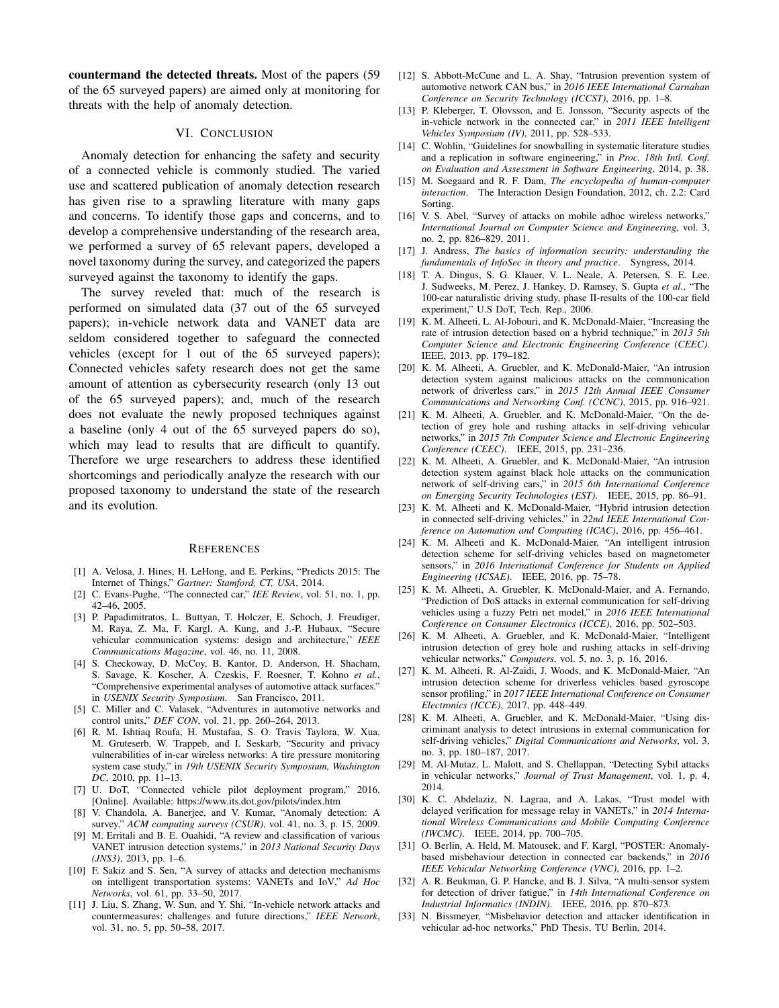countermand the detected threats. Most of the papers (59 of the 65 surveyed papers) are aimed only at monitoring for threats with the help of anomaly detection.

# VI. CONCLUSION

Anomaly detection for enhancing the safety and security of a connected vehicle is commonly studied. The varied use and scattered publication of anomaly detection research has given rise to a sprawling literature with many gaps and concerns. To identify those gaps and concerns, and to develop a comprehensive understanding of the research area, we performed a survey of 65 relevant papers, developed a novel taxonomy during the survey, and categorized the papers surveyed against the taxonomy to identify the gaps.

The survey reveled that: much of the research is performed on simulated data (37 out of the 65 surveyed papers); in-vehicle network data and VANET data are seldom considered together to safeguard the connected vehicles (except for 1 out of the 65 surveyed papers); Connected vehicles safety research does not get the same amount of attention as cybersecurity research (only 13 out of the 65 surveyed papers); and, much of the research does not evaluate the newly proposed techniques against a baseline (only 4 out of the 65 surveyed papers do so), which may lead to results that are difficult to quantify. Therefore we urge researchers to address these identified shortcomings and periodically analyze the research with our proposed taxonomy to understand the state of the research and its evolution.

#### **REFERENCES**

- [1] A. Velosa, J. Hines, H. LeHong, and E. Perkins, "Predicts 2015: The Internet of Things," *Gartner: Stamford, CT, USA*, 2014.
- [2] C. Evans-Pughe, "The connected car," *IEE Review*, vol. 51, no. 1, pp. 42–46, 2005.
- [3] P. Papadimitratos, L. Buttyan, T. Holczer, E. Schoch, J. Freudiger, M. Raya, Z. Ma, F. Kargl, A. Kung, and J.-P. Hubaux, "Secure vehicular communication systems: design and architecture," *IEEE Communications Magazine*, vol. 46, no. 11, 2008.
- [4] S. Checkoway, D. McCoy, B. Kantor, D. Anderson, H. Shacham, S. Savage, K. Koscher, A. Czeskis, F. Roesner, T. Kohno *et al.*, "Comprehensive experimental analyses of automotive attack surfaces." in *USENIX Security Symposium*. San Francisco, 2011.
- [5] C. Miller and C. Valasek, "Adventures in automotive networks and control units," *DEF CON*, vol. 21, pp. 260–264, 2013.
- [6] R. M. Ishtiaq Roufa, H. Mustafaa, S. O. Travis Taylora, W. Xua, M. Gruteserb, W. Trappeb, and I. Seskarb, "Security and privacy vulnerabilities of in-car wireless networks: A tire pressure monitoring system case study," in *19th USENIX Security Symposium, Washington DC*, 2010, pp. 11–13.
- [7] U. DoT, "Connected vehicle pilot deployment program," 2016. [Online]. Available: https://www.its.dot.gov/pilots/index.htm
- [8] V. Chandola, A. Banerjee, and V. Kumar, "Anomaly detection: A survey," *ACM computing surveys (CSUR)*, vol. 41, no. 3, p. 15, 2009.
- [9] M. Erritali and B. E. Ouahidi, "A review and classification of various VANET intrusion detection systems," in *2013 National Security Days (JNS3)*, 2013, pp. 1–6.
- [10] F. Sakiz and S. Sen, "A survey of attacks and detection mechanisms on intelligent transportation systems: VANETs and IoV," *Ad Hoc Networks*, vol. 61, pp. 33–50, 2017.
- [11] J. Liu, S. Zhang, W. Sun, and Y. Shi, "In-vehicle network attacks and countermeasures: challenges and future directions," *IEEE Network*, vol. 31, no. 5, pp. 50–58, 2017.
- [12] S. Abbott-McCune and L. A. Shay, "Intrusion prevention system of automotive network CAN bus," in *2016 IEEE International Carnahan Conference on Security Technology (ICCST)*, 2016, pp. 1–8.
- [13] P. Kleberger, T. Olovsson, and E. Jonsson, "Security aspects of the in-vehicle network in the connected car," in *2011 IEEE Intelligent Vehicles Symposium (IV)*, 2011, pp. 528–533.
- [14] C. Wohlin, "Guidelines for snowballing in systematic literature studies and a replication in software engineering," in *Proc. 18th Intl. Conf. on Evaluation and Assessment in Software Engineering*, 2014, p. 38.
- [15] M. Soegaard and R. F. Dam, *The encyclopedia of human-computer interaction*. The Interaction Design Foundation, 2012, ch. 2.2: Card Sorting.
- [16] V. S. Abel, "Survey of attacks on mobile adhoc wireless networks," *International Journal on Computer Science and Engineering*, vol. 3, no. 2, pp. 826–829, 2011.
- [17] J. Andress, *The basics of information security: understanding the fundamentals of InfoSec in theory and practice*. Syngress, 2014.
- [18] T. A. Dingus, S. G. Klauer, V. L. Neale, A. Petersen, S. E. Lee, J. Sudweeks, M. Perez, J. Hankey, D. Ramsey, S. Gupta *et al.*, "The 100-car naturalistic driving study, phase II-results of the 100-car field experiment," U.S DoT, Tech. Rep., 2006.
- [19] K. M. Alheeti, L. Al-Jobouri, and K. McDonald-Maier, "Increasing the rate of intrusion detection based on a hybrid technique," in *2013 5th Computer Science and Electronic Engineering Conference (CEEC)*. IEEE, 2013, pp. 179–182.
- [20] K. M. Alheeti, A. Gruebler, and K. McDonald-Maier, "An intrusion detection system against malicious attacks on the communication network of driverless cars," in *2015 12th Annual IEEE Consumer Communications and Networking Conf. (CCNC)*, 2015, pp. 916–921.
- [21] K. M. Alheeti, A. Gruebler, and K. McDonald-Maier, "On the detection of grey hole and rushing attacks in self-driving vehicular networks," in *2015 7th Computer Science and Electronic Engineering Conference (CEEC)*. IEEE, 2015, pp. 231–236.
- [22] K. M. Alheeti, A. Gruebler, and K. McDonald-Maier, "An intrusion detection system against black hole attacks on the communication network of self-driving cars," in *2015 6th International Conference on Emerging Security Technologies (EST)*. IEEE, 2015, pp. 86–91.
- [23] K. M. Alheeti and K. McDonald-Maier, "Hybrid intrusion detection in connected self-driving vehicles," in *22nd IEEE International Conference on Automation and Computing (ICAC)*, 2016, pp. 456–461.
- [24] K. M. Alheeti and K. McDonald-Maier, "An intelligent intrusion detection scheme for self-driving vehicles based on magnetometer sensors," in *2016 International Conference for Students on Applied Engineering (ICSAE)*. IEEE, 2016, pp. 75–78.
- [25] K. M. Alheeti, A. Gruebler, K. McDonald-Maier, and A. Fernando, "Prediction of DoS attacks in external communication for self-driving vehicles using a fuzzy Petri net model," in *2016 IEEE International Conference on Consumer Electronics (ICCE)*, 2016, pp. 502–503.
- [26] K. M. Alheeti, A. Gruebler, and K. McDonald-Maier, "Intelligent intrusion detection of grey hole and rushing attacks in self-driving vehicular networks," *Computers*, vol. 5, no. 3, p. 16, 2016.
- [27] K. M. Alheeti, R. Al-Zaidi, J. Woods, and K. McDonald-Maier, "An intrusion detection scheme for driverless vehicles based gyroscope sensor profiling," in *2017 IEEE International Conference on Consumer Electronics (ICCE)*, 2017, pp. 448–449.
- [28] K. M. Alheeti, A. Gruebler, and K. McDonald-Maier, "Using discriminant analysis to detect intrusions in external communication for self-driving vehicles," *Digital Communications and Networks*, vol. 3, no. 3, pp. 180–187, 2017.
- [29] M. Al-Mutaz, L. Malott, and S. Chellappan, "Detecting Sybil attacks in vehicular networks," *Journal of Trust Management*, vol. 1, p. 4, 2014.
- [30] K. C. Abdelaziz, N. Lagraa, and A. Lakas, "Trust model with delayed verification for message relay in VANETs," in *2014 International Wireless Communications and Mobile Computing Conference (IWCMC)*. IEEE, 2014, pp. 700–705.
- [31] O. Berlin, A. Held, M. Matousek, and F. Kargl, "POSTER: Anomalybased misbehaviour detection in connected car backends," in *2016 IEEE Vehicular Networking Conference (VNC)*, 2016, pp. 1–2.
- [32] A. R. Beukman, G. P. Hancke, and B. J. Silva, "A multi-sensor system for detection of driver fatigue," in *14th International Conference on Industrial Informatics (INDIN)*. IEEE, 2016, pp. 870–873.
- [33] N. Bissmeyer, "Misbehavior detection and attacker identification in vehicular ad-hoc networks," PhD Thesis, TU Berlin, 2014.